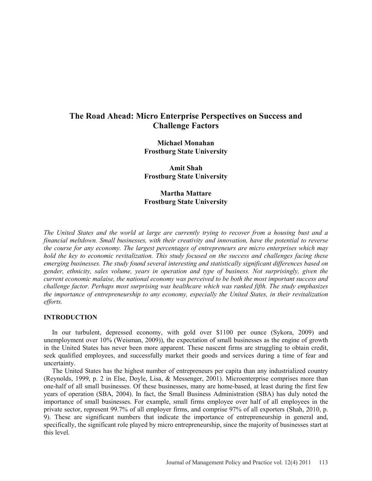# **The Road Ahead: Micro Enterprise Perspectives on Success and Challenge Factors**

**Michael Monahan Frostburg State University** 

**Amit Shah Frostburg State University** 

# **Martha Mattare Frostburg State University**

*The United States and the world at large are currently trying to recover from a housing bust and a financial meltdown. Small businesses, with their creativity and innovation, have the potential to reverse the course for any economy. The largest percentages of entrepreneurs are micro enterprises which may hold the key to economic revitalization. This study focused on the success and challenges facing these emerging businesses. The study found several interesting and statistically significant differences based on gender, ethnicity, sales volume, years in operation and type of business. Not surprisingly, given the current economic malaise, the national economy was perceived to be both the most important success and challenge factor. Perhaps most surprising was healthcare which was ranked fifth. The study emphasizes the importance of entrepreneurship to any economy, especially the United States, in their revitalization efforts.* 

## **INTRODUCTION**

 In our turbulent, depressed economy, with gold over \$1100 per ounce (Sykora, 2009) and unemployment over 10% (Weisman, 2009)), the expectation of small businesses as the engine of growth in the United States has never been more apparent. These nascent firms are struggling to obtain credit, seek qualified employees, and successfully market their goods and services during a time of fear and uncertainty.

 The United States has the highest number of entrepreneurs per capita than any industrialized country (Reynolds, 1999, p. 2 in Else, Doyle, Lisa, & Messenger, 2001). Microenterprise comprises more than one-half of all small businesses. Of these businesses, many are home-based, at least during the first few years of operation (SBA, 2004). In fact, the Small Business Administration (SBA) has duly noted the importance of small businesses. For example, small firms employee over half of all employees in the private sector, represent 99.7% of all employer firms, and comprise 97% of all exporters (Shah, 2010, p. 9). These are significant numbers that indicate the importance of entrepreneurship in general and, specifically, the significant role played by micro entrepreneurship, since the majority of businesses start at this level.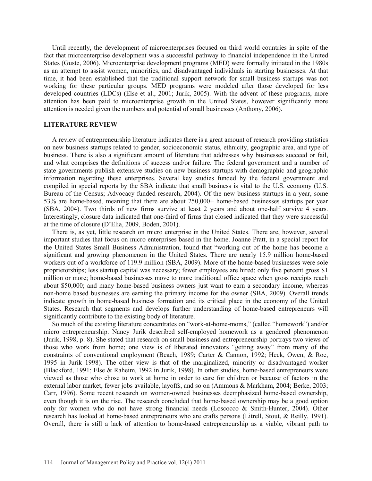Until recently, the development of microenterprises focused on third world countries in spite of the fact that microenterprise development was a successful pathway to financial independence in the United States (Guste, 2006). Microenterprise development programs (MED) were formally initiated in the 1980s as an attempt to assist women, minorities, and disadvantaged individuals in starting businesses. At that time, it had been established that the traditional support network for small business startups was not working for these particular groups. MED programs were modeled after those developed for less developed countries (LDCs) (Else et al., 2001; Jurik, 2005). With the advent of these programs, more attention has been paid to microenterprise growth in the United States, however significantly more attention is needed given the numbers and potential of small businesses (Anthony, 2006).

#### **LITERATURE REVIEW**

 A review of entrepreneurship literature indicates there is a great amount of research providing statistics on new business startups related to gender, socioeconomic status, ethnicity, geographic area, and type of business. There is also a significant amount of literature that addresses why businesses succeed or fail, and what comprises the definitions of success and/or failure. The federal government and a number of state governments publish extensive studies on new business startups with demographic and geographic information regarding these enterprises. Several key studies funded by the federal government and compiled in special reports by the SBA indicate that small business is vital to the U.S. economy (U.S. Bureau of the Census; Advocacy funded research, 2004). Of the new business startups in a year, some 53% are home-based, meaning that there are about 250,000+ home-based businesses startups per year (SBA, 2004). Two thirds of new firms survive at least 2 years and about one-half survive 4 years. Interestingly, closure data indicated that one-third of firms that closed indicated that they were successful at the time of closure (D'Elia, 2009, Boden, 2001).

 There is, as yet, little research on micro enterprise in the United States. There are, however, several important studies that focus on micro enterprises based in the home. Joanne Pratt, in a special report for the United States Small Business Administration, found that "working out of the home has become a significant and growing phenomenon in the United States. There are nearly 15.9 million home-based workers out of a workforce of 119.9 million (SBA, 2009). More of the home-based businesses were sole proprietorships; less startup capital was necessary; fewer employees are hired; only five percent gross \$1 million or more; home-based businesses move to more traditional office space when gross receipts reach about \$50,000; and many home-based business owners just want to earn a secondary income, whereas non-home based businesses are earning the primary income for the owner (SBA, 2009). Overall trends indicate growth in home-based business formation and its critical place in the economy of the United States. Research that segments and develops further understanding of home-based entrepreneurs will significantly contribute to the existing body of literature.

 So much of the existing literature concentrates on "work-at-home-moms," (called "homework") and/or micro entrepreneurship. Nancy Jurik described self-employed homework as a gendered phenomenon (Jurik, 1998, p. 8). She stated that research on small business and entrepreneurship portrays two views of those who work from home; one view is of liberated innovators "getting away" from many of the constraints of conventional employment (Beach, 1989; Carter & Cannon, 1992; Heck, Owen, & Roe, 1995 in Jurik 1998). The other view is that of the marginalized, minority or disadvantaged worker (Blackford, 1991; Else & Raheim, 1992 in Jurik, 1998). In other studies, home-based entrepreneurs were viewed as those who chose to work at home in order to care for children or because of factors in the external labor market, fewer jobs available, layoffs, and so on (Ammons & Markham, 2004; Berke, 2003; Carr, 1996). Some recent research on women-owned businesses deemphasized home-based ownership, even though it is on the rise. The research concluded that home-based ownership may be a good option only for women who do not have strong financial needs (Loscocco & Smith-Hunter, 2004). Other research has looked at home-based entrepreneurs who are crafts persons (Litrell, Stout, & Reilly, 1991). Overall, there is still a lack of attention to home-based entrepreneurship as a viable, vibrant path to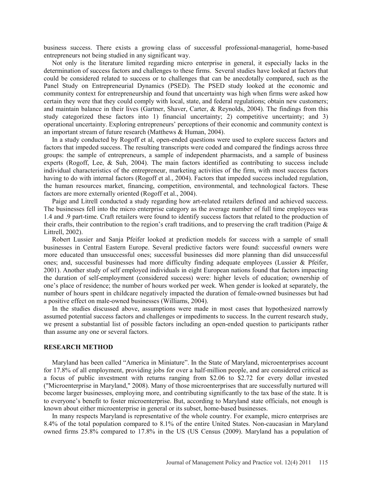business success. There exists a growing class of successful professional-managerial, home-based entrepreneurs not being studied in any significant way.

 Not only is the literature limited regarding micro enterprise in general, it especially lacks in the determination of success factors and challenges to these firms. Several studies have looked at factors that could be considered related to success or to challenges that can be anecdotally compared, such as the Panel Study on Entrepreneurial Dynamics (PSED). The PSED study looked at the economic and community context for entrepreneurship and found that uncertainty was high when firms were asked how certain they were that they could comply with local, state, and federal regulations; obtain new customers; and maintain balance in their lives (Gartner, Shaver, Carter, & Reynolds, 2004). The findings from this study categorized these factors into 1) financial uncertainty; 2) competitive uncertainty; and 3) operational uncertainty. Exploring entrepreneurs' perceptions of their economic and community context is an important stream of future research (Matthews & Human, 2004).

 In a study conducted by Rogoff et al, open-ended questions were used to explore success factors and factors that impeded success. The resulting transcripts were coded and compared the findings across three groups: the sample of entrepreneurs, a sample of independent pharmacists, and a sample of business experts (Rogoff, Lee, & Suh, 2004). The main factors identified as contributing to success include individual characteristics of the entrepreneur, marketing activities of the firm, with most success factors having to do with internal factors (Rogoff et al., 2004). Factors that impeded success included regulation, the human resources market, financing, competition, environmental, and technological factors. These factors are more externally oriented (Rogoff et al., 2004).

 Paige and Litrell conducted a study regarding how art-related retailers defined and achieved success. The businesses fell into the micro enterprise category as the average number of full time employees was 1.4 and .9 part-time. Craft retailers were found to identify success factors that related to the production of their crafts, their contribution to the region's craft traditions, and to preserving the craft tradition (Paige  $\&$ Littrell, 2002).

 Robert Lussier and Sanja Pfeifer looked at prediction models for success with a sample of small businesses in Central Eastern Europe. Several predictive factors were found: successful owners were more educated than unsuccessful ones; successful businesses did more planning than did unsuccessful ones; and, successful businesses had more difficulty finding adequate employees (Lussier & Pfeifer, 2001). Another study of self employed individuals in eight European nations found that factors impacting the duration of self-employment (considered success) were: higher levels of education; ownership of one's place of residence; the number of hours worked per week. When gender is looked at separately, the number of hours spent in childcare negatively impacted the duration of female-owned businesses but had a positive effect on male-owned businesses (Williams, 2004).

 In the studies discussed above, assumptions were made in most cases that hypothesized narrowly assumed potential success factors and challenges or impediments to success. In the current research study, we present a substantial list of possible factors including an open-ended question to participants rather than assume any one or several factors.

# **RESEARCH METHOD**

 Maryland has been called "America in Miniature". In the State of Maryland, microenterprises account for 17.8% of all employment, providing jobs for over a half-million people, and are considered critical as a focus of public investment with returns ranging from \$2.06 to \$2.72 for every dollar invested ("Microenterprise in Maryland," 2008). Many of those microenterprises that are successfully nurtured will become larger businesses, employing more, and contributing significantly to the tax base of the state. It is to everyone's benefit to foster microenterprise. But, according to Maryland state officials, not enough is known about either microenterprise in general or its subset, home-based businesses.

 In many respects Maryland is representative of the whole country. For example, micro enterprises are 8.4% of the total population compared to 8.1% of the entire United States. Non-caucasian in Maryland owned firms 25.8% compared to 17.8% in the US (US Census (2009). Maryland has a population of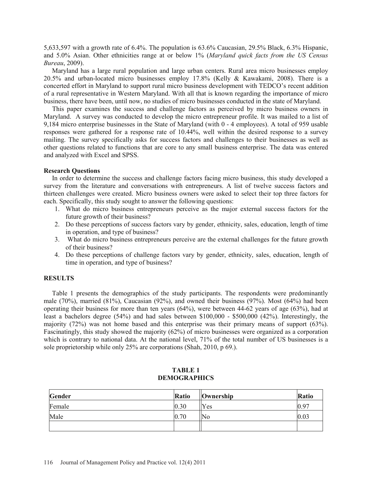5,633,597 with a growth rate of 6.4%. The population is 63.6% Caucasian, 29.5% Black, 6.3% Hispanic, and 5.0% Asian. Other ethnicities range at or below 1% (*Maryland quick facts from the US Census Bureau*, 2009).

 Maryland has a large rural population and large urban centers. Rural area micro businesses employ 20.5% and urban-located micro businesses employ 17.8% (Kelly & Kawakami, 2008). There is a concerted effort in Maryland to support rural micro business development with TEDCO's recent addition of a rural representative in Western Maryland. With all that is known regarding the importance of micro business, there have been, until now, no studies of micro businesses conducted in the state of Maryland.

 This paper examines the success and challenge factors as perceived by micro business owners in Maryland. A survey was conducted to develop the micro entrepreneur profile. It was mailed to a list of 9,184 micro enterprise businesses in the State of Maryland (with 0 - 4 employees). A total of 959 usable responses were gathered for a response rate of 10.44%, well within the desired response to a survey mailing. The survey specifically asks for success factors and challenges to their businesses as well as other questions related to functions that are core to any small business enterprise. The data was entered and analyzed with Excel and SPSS.

## **Research Questions**

 In order to determine the success and challenge factors facing micro business, this study developed a survey from the literature and conversations with entrepreneurs. A list of twelve success factors and thirteen challenges were created. Micro business owners were asked to select their top three factors for each. Specifically, this study sought to answer the following questions:

- 1. What do micro business entrepreneurs perceive as the major external success factors for the future growth of their business?
- 2. Do these perceptions of success factors vary by gender, ethnicity, sales, education, length of time in operation, and type of business?
- 3. What do micro business entrepreneurs perceive are the external challenges for the future growth of their business?
- 4. Do these perceptions of challenge factors vary by gender, ethnicity, sales, education, length of time in operation, and type of business?

# **RESULTS**

 Table 1 presents the demographics of the study participants. The respondents were predominantly male (70%), married (81%), Caucasian (92%), and owned their business (97%). Most (64%) had been operating their business for more than ten years (64%), were between 44-62 years of age (63%), had at least a bachelors degree (54%) and had sales between \$100,000 - \$500,000 (42%). Interestingly, the majority (72%) was not home based and this enterprise was their primary means of support (63%). Fascinatingly, this study showed the majority (62%) of micro businesses were organized as a corporation which is contrary to national data. At the national level,  $71\%$  of the total number of US businesses is a sole proprietorship while only 25% are corporations (Shah, 2010, p 69.).

| Gender | <b>Ratio</b> | $\sqrt{\frac{1}{2}}$ Ownership | Ratio |
|--------|--------------|--------------------------------|-------|
| Female | 0.30         | Yes                            | 0.97  |
| Male   | 0.70         | No                             | 0.03  |
|        |              |                                |       |

#### **TABLE 1 DEMOGRAPHICS**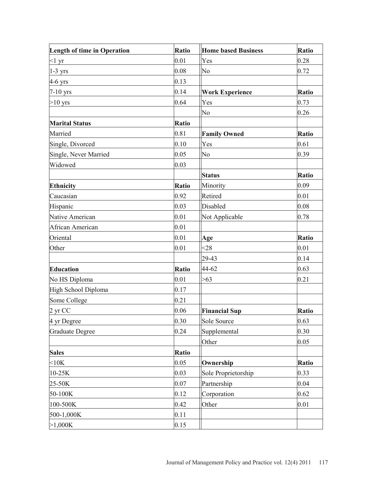| <b>Length of time in Operation</b> | Ratio        | <b>Home based Business</b> | <b>Ratio</b> |
|------------------------------------|--------------|----------------------------|--------------|
| $<1 \text{ yr}$                    | 0.01         | Yes                        | 0.28         |
| $1-3$ yrs                          | 0.08         | No                         | 0.72         |
| $4-6$ yrs                          | 0.13         |                            |              |
| $7-10$ yrs                         | 0.14         | <b>Work Experience</b>     | Ratio        |
| $>10$ yrs                          | 0.64         | Yes                        | 0.73         |
|                                    |              | No                         | 0.26         |
| <b>Marital Status</b>              | <b>Ratio</b> |                            |              |
| Married                            | 0.81         | <b>Family Owned</b>        | <b>Ratio</b> |
| Single, Divorced                   | 0.10         | Yes                        | 0.61         |
| Single, Never Married              | 0.05         | No                         | 0.39         |
| Widowed                            | 0.03         |                            |              |
|                                    |              | <b>Status</b>              | Ratio        |
| <b>Ethnicity</b>                   | <b>Ratio</b> | Minority                   | 0.09         |
| Caucasian                          | 0.92         | Retired                    | 0.01         |
| Hispanic                           | 0.03         | Disabled                   | 0.08         |
| Native American                    | 0.01         | Not Applicable             | 0.78         |
| African American                   | 0.01         |                            |              |
| Oriental                           | 0.01         | Age                        | Ratio        |
| Other                              | 0.01         | $28$                       | 0.01         |
|                                    |              | 29-43                      | 0.14         |
| <b>Education</b>                   | <b>Ratio</b> | 44-62                      | 0.63         |
| No HS Diploma                      | 0.01         | >63                        | 0.21         |
| High School Diploma                | 0.17         |                            |              |
| Some College                       | 0.21         |                            |              |
| 2 yr CC                            | 0.06         | <b>Financial Sup</b>       | <b>Ratio</b> |
| 4 yr Degree                        | 0.30         | Sole Source                | 0.63         |
| <b>Graduate Degree</b>             | 0.24         | Supplemental               | 0.30         |
|                                    |              | Other                      | 0.05         |
| <b>Sales</b>                       | Ratio        |                            |              |
| $<$ 10 $K$                         | 0.05         | Ownership                  | <b>Ratio</b> |
| 10-25K                             | 0.03         | Sole Proprietorship        | 0.33         |
| 25-50K                             | 0.07         | Partnership                | 0.04         |
| 50-100K                            | 0.12         | Corporation                | 0.62         |
| 100-500K                           | 0.42         | Other                      | 0.01         |
| 500-1,000K                         | 0.11         |                            |              |
| >1,000K                            | 0.15         |                            |              |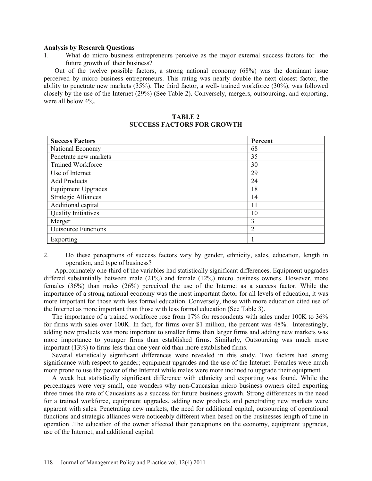#### **Analysis by Research Questions**

1. What do micro business entrepreneurs perceive as the major external success factors for the future growth of their business?

Out of the twelve possible factors, a strong national economy (68%) was the dominant issue perceived by micro business entrepreneurs. This rating was nearly double the next closest factor, the ability to penetrate new markets (35%). The third factor, a well- trained workforce (30%), was followed closely by the use of the Internet (29%) (See Table 2). Conversely, mergers, outsourcing, and exporting, were all below 4%.

## **TABLE 2 SUCCESS FACTORS FOR GROWTH**

| <b>Success Factors</b>     | Percent        |
|----------------------------|----------------|
| National Economy           | 68             |
| Penetrate new markets      | 35             |
| <b>Trained Workforce</b>   | 30             |
| Use of Internet            | 29             |
| <b>Add Products</b>        | 24             |
| <b>Equipment Upgrades</b>  | 18             |
| <b>Strategic Alliances</b> | 14             |
| Additional capital         | 11             |
| <b>Quality Initiatives</b> | 10             |
| Merger                     | 3              |
| <b>Outsource Functions</b> | $\overline{2}$ |
| Exporting                  |                |

2. Do these perceptions of success factors vary by gender, ethnicity, sales, education, length in operation, and type of business?

Approximately one-third of the variables had statistically significant differences. Equipment upgrades differed substantially between male (21%) and female (12%) micro business owners. However, more females (36%) than males (26%) perceived the use of the Internet as a success factor. While the importance of a strong national economy was the most important factor for all levels of education, it was more important for those with less formal education. Conversely, those with more education cited use of the Internet as more important than those with less formal education (See Table 3).

 The importance of a trained workforce rose from 17% for respondents with sales under 100K to 36% for firms with sales over 100K. In fact, for firms over \$1 million, the percent was 48%. Interestingly, adding new products was more important to smaller firms than larger firms and adding new markets was more importance to younger firms than established firms. Similarly, Outsourcing was much more important (13%) to firms less than one year old than more established firms.

 Several statistically significant differences were revealed in this study. Two factors had strong significance with respect to gender; equipment upgrades and the use of the Internet. Females were much more prone to use the power of the Internet while males were more inclined to upgrade their equipment.

 A weak but statistically significant difference with ethnicity and exporting was found. While the percentages were very small, one wonders why non-Caucasian micro business owners cited exporting three times the rate of Caucasians as a success for future business growth. Strong differences in the need for a trained workforce, equipment upgrades, adding new products and penetrating new markets were apparent with sales. Penetrating new markets, the need for additional capital, outsourcing of operational functions and strategic alliances were noticeably different when based on the businesses length of time in operation .The education of the owner affected their perceptions on the economy, equipment upgrades, use of the Internet, and additional capital.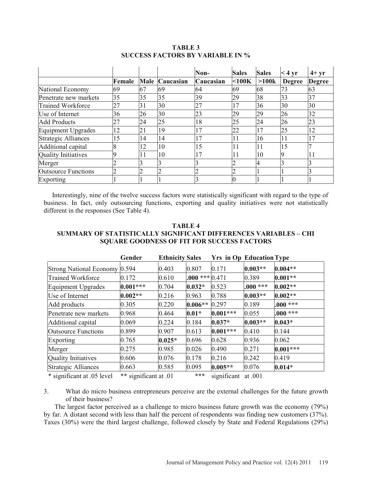|                            |        |    |                | Non-      | <b>Sales</b> | <b>Sales</b> | $<$ 4 yr      | $4+yr$        |
|----------------------------|--------|----|----------------|-----------|--------------|--------------|---------------|---------------|
|                            | Female |    | Male Caucasian | Caucasian | $<$ 100 $K$  | >100k        | <b>Degree</b> | <b>Degree</b> |
| National Economy           | 69     | 67 | 69             | 64        | 69           | 68           | 73            | 63            |
| Penetrate new markets      | 35     | 35 | 35             | 39        | 29           | 38           | 33            | 37            |
| Trained Workforce          | 27     | 31 | 30             | 27        | 17           | 36           | 30            | 30            |
| Use of Internet            | 36     | 26 | 30             | 23        | 29           | 29           | 26            | 32            |
| <b>Add Products</b>        | 27     | 24 | 25             | 18        | 25           | 24           | 26            | 23            |
| Equipment Upgrades         | 12     | 21 | 19             | 17        | 22           | 17           | 25            | 12            |
| Strategic Alliances        | 15     | 14 | 14             | 17        | 11           | 16           | 11            | 17            |
| Additional capital         |        | 12 | 10             | 15        | 11           | 11           | 15            |               |
| Quality Initiatives        |        | 11 | 10             | 17        | 11           | 10           |               |               |
| Merger                     |        |    |                |           |              |              |               |               |
| <b>Outsource Functions</b> |        |    |                |           |              |              |               |               |
| Exporting                  |        |    |                |           |              |              |               |               |

## **TABLE 3 SUCCESS FACTORS BY VARIABLE IN %**

 Interestingly, nine of the twelve success factors were statistically significant with regard to the type of business. In fact, only outsourcing functions, exporting and quality initiatives were not statistically different in the responses (See Table 4).

# **TABLE 4 SUMMARY OF STATISTICALLY SIGNIFICANT DIFFERENCES VARIABLES – CHI SQUARE GOODNESS OF FIT FOR SUCCESS FACTORS**

|                                                           | Gender                              | <b>Ethnicity Sales</b> |                      | <b>Yrs in Op Education Type</b> |                    |            |
|-----------------------------------------------------------|-------------------------------------|------------------------|----------------------|---------------------------------|--------------------|------------|
| <b>Strong National Economy</b>                            | 0.594                               | 0.403                  | 0.807                | 0.171                           | $0.003**$          | $0.004**$  |
| <b>Trained Workforce</b>                                  | 0.172                               | 0.610                  | $.000$ *** $ 0.471$  |                                 | 0.389              | $0.001**$  |
| Equipment Upgrades                                        | $0.001***$                          | 0.704                  | $0.032*$             | 0.523                           | $.000***$          | $0.002**$  |
| Use of Internet                                           | $0.002**$                           | 0.216                  | 0.963                | 0.788                           | $0.003**$          | $0.002**$  |
| Add products                                              | 0.305                               | 0.220                  | $0.006**$            | 0.297                           | 0.189              | $.000***$  |
| Penetrate new markets                                     | 0.968                               | 0.464                  | $0.01*$              | $0.001***$                      | 0.055              | $.000***$  |
| Additional capital                                        | 0.069                               | 0.224                  | 0.184                | $0.037*$                        | $0.003**$          | $0.043*$   |
| <b>Outsource Functions</b>                                | 0.899                               | 0.907                  | 0.613                | $0.001***$                      | 0.410              | 0.144      |
| Exporting                                                 | 0.765                               | $0.025*$               | 0.696                | 0.628                           | 0.936              | 0.062      |
| Merger                                                    | 0.275                               | 0.985                  | 0.026                | 0.490                           | 0.271              | $0.001***$ |
| Quality Initiatives                                       | 0.606                               | 0.076                  | 0.178                | 0.216                           | 0.242              | 0.419      |
| <b>Strategic Alliances</b>                                | 0.663                               | 0.585                  | 0.095                | $0.005**$                       | 0.076              | $0.014*$   |
| $\mathbf{u}$ . $\mathbf{w}$ . $\mathbf{v}$ . $\mathbf{v}$ | $\cdot$ $\sim$<br><b>CONTRACTOR</b> | $\cdots$               | $-2$ . $-2$ . $-2$ . | $\cdot$ $\cdot$ $\sim$          | $\sim$ $\sim$ 0.01 |            |

\* significant at .05 level **\*\*** significant at .01 **\*\*\*** significant at .001

3. What do micro business entrepreneurs perceive are the external challenges for the future growth of their business?

The largest factor perceived as a challenge to micro business future growth was the economy (79%) by far. A distant second with less than half the percent of respondents was finding new customers (37%). Taxes (30%) were the third largest challenge, followed closely by State and Federal Regulations (29%)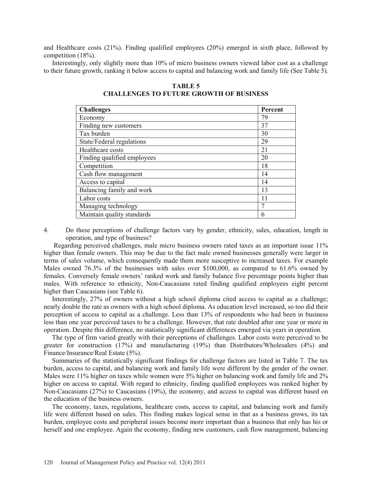and Healthcare costs (21%). Finding qualified employees (20%) emerged in sixth place, followed by competition (18%).

 Interestingly, only slightly more than 10% of micro business owners viewed labor cost as a challenge to their future growth, ranking it below access to capital and balancing work and family life (See Table 5).

| <b>Challenges</b>           | Percent |
|-----------------------------|---------|
| Economy                     | 79      |
| Finding new customers       | 37      |
| Tax burden                  | 30      |
| State/Federal regulations   | 29      |
| Healthcare costs            | 21      |
| Finding qualified employees | 20      |
| Competition                 | 18      |
| Cash flow management        | 14      |
| Access to capital           | 14      |
| Balancing family and work   | 13      |
| Labor costs                 | 11      |
| Managing technology         | ┑       |
| Maintain quality standards  | 6       |

**TABLE 5 CHALLENGES TO FUTURE GROWTH OF BUSINESS** 

4. Do these perceptions of challenge factors vary by gender, ethnicity, sales, education, length in operation, and type of business?

 Regarding perceived challenges, male micro business owners rated taxes as an important issue 11% higher than female owners. This may be due to the fact male owned businesses generally were larger in terms of sales volume, which consequently made them more susceptive to increased taxes. For example Males owned 76.3% of the businesses with sales over \$100,000, as compared to 61.6% owned by females. Conversely female owners' ranked work and family balance five percentage points higher than males. With reference to ethnicity, Non-Caucasians rated finding qualified employees eight percent higher than Caucasians (see Table 6).

 Interestingly, 27% of owners without a high school diploma cited access to capital as a challenge; nearly double the rate as owners with a high school diploma. As education level increased, so too did their perception of access to capital as a challenge. Less than 13% of respondents who had been in business less than one year perceived taxes to be a challenge. However, that rate doubled after one year or more in operation. Despite this difference, no statistically significant differences emerged via years in operation.

 The type of firm varied greatly with their perceptions of challenges. Labor costs were perceived to be greater for construction (17%) and manufacturing (19%) than Distributors/Wholesalers (4%) and Finance/Insurance/Real Estate (5%).

 Summaries of the statistically significant findings for challenge factors are listed in Table 7. The tax burden, access to capital, and balancing work and family life were different by the gender of the owner. Males were 11% higher on taxes while women were 5% higher on balancing work and family life and 2% higher on access to capital. With regard to ethnicity, finding qualified employees was ranked higher by Non-Caucasians (27%) to Caucasians (19%), the economy, and access to capital was different based on the education of the business owners.

 The economy, taxes, regulations, healthcare costs, access to capital, and balancing work and family life were different based on sales. This finding makes logical sense in that as a business grows, its tax burden, employee costs and peripheral issues become more important than a business that only has his or herself and one employee. Again the economy, finding new customers, cash flow management, balancing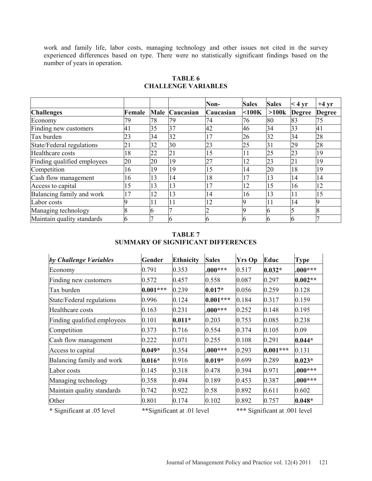work and family life, labor costs, managing technology and other issues not cited in the survey experienced differences based on type. There were no statistically significant findings based on the number of years in operation.

|                             |                 |    |                | Non-      | <b>Sales</b> | <b>Sales</b>    | $< 4 \text{ yr}$ | $+4$ yr       |
|-----------------------------|-----------------|----|----------------|-----------|--------------|-----------------|------------------|---------------|
| <b>Challenges</b>           | Female          |    | Male Caucasian | Caucasian | $<$ 100 $K$  | >100k           | <b>Degree</b>    | <b>Degree</b> |
| Economy                     | 79              | 78 | 79             | 74        | 76           | 80              | 83               | 75            |
| Finding new customers       | 41              | 35 | 37             | 42        | 46           | 34              | 33               | 41            |
| Tax burden                  | 23              | 34 | 32             | 17        | 26           | 32              | 34               | 28            |
| State/Federal regulations   | $\overline{21}$ | 32 | 30             | 23        | 25           | $\overline{31}$ | 29               | 28            |
| Healthcare costs            | 18              | 22 | 21             | 15        | 11           | 25              | 23               | 19            |
| Finding qualified employees | 20              | 20 | 19             | 27        | 12           | 23              | 21               | 19            |
| Competition                 | 16              | 19 | 19             | 15        | 14           | 20              | 18               | 19            |
| Cash flow management        | 16              | 13 | 14             | 18        | 17           | 13              | 14               | 14            |
| Access to capital           | 15              | 13 | 13             | 17        | 12           | 15              | 16               | 12            |
| Balancing family and work   | 17              | 12 | 13             | 14        | 16           | 13              | 11               | 15            |
| Labor costs                 |                 | 11 | 11             | 12        |              | 11              | 14               |               |
| Managing technology         |                 | n  |                |           |              |                 |                  |               |
| Maintain quality standards  |                 |    |                | b         |              |                 | In               |               |

# **TABLE 6 CHALLENGE VARIABLES**

# **TABLE 7 SUMMARY OF SIGNIFICANT DIFFERENCES**

| by Challenge Variables      | Gender     | <b>Ethnicity</b>           | <b>Sales</b> | <b>Yrs Op</b> | Educ                          | <b>Type</b> |
|-----------------------------|------------|----------------------------|--------------|---------------|-------------------------------|-------------|
| Economy                     | 0.791      | 0.353                      | $.000***$    | 0.517         | $0.032*$                      | $.000***$   |
| Finding new customers       | 0.572      | 0.457                      | 0.558        | 0.087         | 0.297                         | $0.002**$   |
| Tax burden                  | $0.001***$ | 0.239                      | $0.017*$     | 0.056         | 0.259                         | 0.128       |
| State/Federal regulations   | 0.996      | 0.124                      | $0.001***$   | 0.184         | 0.317                         | 0.159       |
| Healthcare costs            | 0.163      | 0.231                      | $.000***$    | 0.252         | 0.148                         | 0.195       |
| Finding qualified employees | 0.101      | $0.011*$                   | 0.203        | 0.753         | 0.085                         | 0.238       |
| Competition                 | 0.373      | 0.716                      | 0.554        | 0.374         | 0.105                         | 0.09        |
| Cash flow management        | 0.222      | 0.071                      | 0.255        | 0.108         | 0.291                         | $0.044*$    |
| Access to capital           | $0.049*$   | 0.354                      | $.000***$    | 0.293         | $0.001***$                    | 0.131       |
| Balancing family and work   | $0.016*$   | 0.916                      | $0.019*$     | 0.699         | 0.289                         | $0.023*$    |
| Labor costs                 | 0.145      | 0.318                      | 0.478        | 0.394         | 0.971                         | $.000***$   |
| Managing technology         | 0.358      | 0.494                      | 0.189        | 0.453         | 0.387                         | $.000***$   |
| Maintain quality standards  | 0.742      | 0.922                      | 0.58         | 0.892         | 0.611                         | 0.602       |
| Other                       | 0.801      | 0.174                      | 0.102        | 0.892         | 0.757                         | $0.048*$    |
| * Significant at .05 level  |            | **Significant at .01 level |              |               | *** Significant at .001 level |             |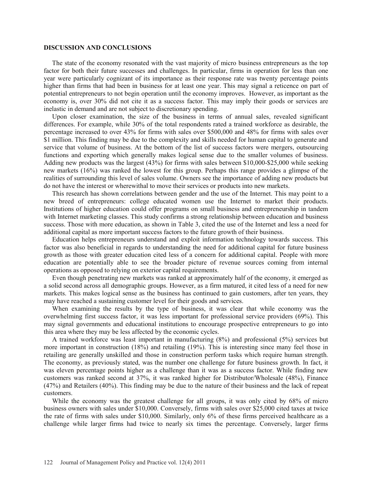#### **DISCUSSION AND CONCLUSIONS**

 The state of the economy resonated with the vast majority of micro business entrepreneurs as the top factor for both their future successes and challenges. In particular, firms in operation for less than one year were particularly cognizant of its importance as their response rate was twenty percentage points higher than firms that had been in business for at least one year. This may signal a reticence on part of potential entrepreneurs to not begin operation until the economy improves. However, as important as the economy is, over 30% did not cite it as a success factor. This may imply their goods or services are inelastic in demand and are not subject to discretionary spending.

 Upon closer examination, the size of the business in terms of annual sales, revealed significant differences. For example, while 30% of the total respondents rated a trained workforce as desirable, the percentage increased to over 43% for firms with sales over \$500,000 and 48% for firms with sales over \$1 million. This finding may be due to the complexity and skills needed for human capital to generate and service that volume of business. At the bottom of the list of success factors were mergers, outsourcing functions and exporting which generally makes logical sense due to the smaller volumes of business. Adding new products was the largest (43%) for firms with sales between \$10,000-\$25,000 while seeking new markets (16%) was ranked the lowest for this group. Perhaps this range provides a glimpse of the realities of surrounding this level of sales volume. Owners see the importance of adding new products but do not have the interest or wherewithal to move their services or products into new markets.

 This research has shown correlations between gender and the use of the Internet. This may point to a new breed of entrepreneurs: college educated women use the Internet to market their products. Institutions of higher education could offer programs on small business and entrepreneurship in tandem with Internet marketing classes. This study confirms a strong relationship between education and business success. Those with more education, as shown in Table 3, cited the use of the Internet and less a need for additional capital as more important success factors to the future growth of their business.

 Education helps entrepreneurs understand and exploit information technology towards success. This factor was also beneficial in regards to understanding the need for additional capital for future business growth as those with greater education cited less of a concern for additional capital. People with more education are potentially able to see the broader picture of revenue sources coming from internal operations as opposed to relying on exterior capital requirements.

 Even though penetrating new markets was ranked at approximately half of the economy, it emerged as a solid second across all demographic groups. However, as a firm matured, it cited less of a need for new markets. This makes logical sense as the business has continued to gain customers, after ten years, they may have reached a sustaining customer level for their goods and services.

 When examining the results by the type of business, it was clear that while economy was the overwhelming first success factor, it was less important for professional service providers (69%). This may signal governments and educational institutions to encourage prospective entrepreneurs to go into this area where they may be less affected by the economic cycles.

 A trained workforce was least important in manufacturing (8%) and professional (5%) services but more important in construction (18%) and retailing (19%). This is interesting since many feel those in retailing are generally unskilled and those in construction perform tasks which require human strength. The economy, as previously stated, was the number one challenge for future business growth. In fact, it was eleven percentage points higher as a challenge than it was as a success factor. While finding new customers was ranked second at 37%, it was ranked higher for Distributor/Wholesale (48%), Finance (47%) and Retailers (40%). This finding may be due to the nature of their business and the lack of repeat customers.

 While the economy was the greatest challenge for all groups, it was only cited by 68% of micro business owners with sales under \$10,000. Conversely, firms with sales over \$25,000 cited taxes at twice the rate of firms with sales under \$10,000. Similarly, only 6% of these firms perceived healthcare as a challenge while larger firms had twice to nearly six times the percentage. Conversely, larger firms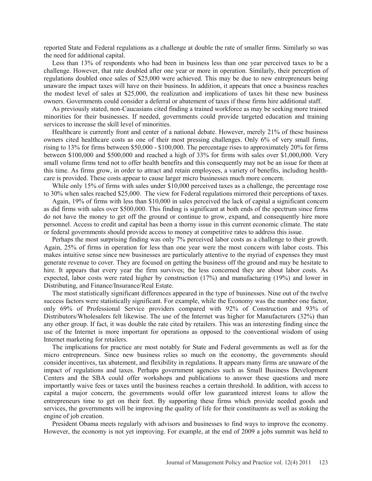reported State and Federal regulations as a challenge at double the rate of smaller firms. Similarly so was the need for additional capital.

 Less than 13% of respondents who had been in business less than one year perceived taxes to be a challenge. However, that rate doubled after one year or more in operation. Similarly, their perception of regulations doubled once sales of \$25,000 were achieved. This may be due to new entrepreneurs being unaware the impact taxes will have on their business. In addition, it appears that once a business reaches the modest level of sales at \$25,000, the realization and implications of taxes hit these new business owners. Governments could consider a deferral or abatement of taxes if these firms hire additional staff.

 As previously stated, non-Caucasians cited finding a trained workforce as may be seeking more trained minorities for their businesses. If needed, governments could provide targeted education and training services to increase the skill level of minorities.

 Healthcare is currently front and center of a national debate. However, merely 21% of these business owners cited healthcare costs as one of their most pressing challenges. Only 6% of very small firms, rising to 13% for firms between \$50,000 - \$100,000. The percentage rises to approximately 20% for firms between \$100,000 and \$500,000 and reached a high of 33% for firms with sales over \$1,000,000. Very small volume firms tend not to offer health benefits and this consequently may not be an issue for them at this time. As firms grow, in order to attract and retain employees, a variety of benefits, including healthcare is provided. These costs appear to cause larger micro businesses much more concern.

While only 15% of firms with sales under \$10,000 perceived taxes as a challenge, the percentage rose to 30% when sales reached \$25,000. The view for Federal regulations mirrored their perceptions of taxes.

 Again, 19% of firms with less than \$10,000 in sales perceived the lack of capital a significant concern as did firms with sales over \$500,000. This finding is significant at both ends of the spectrum since firms do not have the money to get off the ground or continue to grow, expand, and consequently hire more personnel. Access to credit and capital has been a thorny issue in this current economic climate. The state or federal governments should provide access to money at competitive rates to address this issue.

 Perhaps the most surprising finding was only 7% perceived labor costs as a challenge to their growth. Again, 25% of firms in operation for less than one year were the most concern with labor costs. This makes intuitive sense since new businesses are particularly attentive to the myriad of expenses they must generate revenue to cover. They are focused on getting the business off the ground and may be hesitate to hire. It appears that every year the firm survives; the less concerned they are about labor costs. As expected, labor costs were rated higher by construction (17%) and manufacturing (19%) and lower in Distributing, and Finance/Insurance/Real Estate.

 The most statistically significant differences appeared in the type of businesses. Nine out of the twelve success factors were statistically significant. For example, while the Economy was the number one factor, only 69% of Professional Service providers compared with 92% of Construction and 93% of Distributors/Wholesalers felt likewise. The use of the Internet was higher for Manufacturers (32%) than any other group. If fact, it was double the rate cited by retailers. This was an interesting finding since the use of the Internet is more important for operations as opposed to the conventional wisdom of using Internet marketing for retailers.

 The implications for practice are most notably for State and Federal governments as well as for the micro entrepreneurs. Since new business relies so much on the economy, the governments should consider incentives, tax abatement, and flexibility in regulations. It appears many firms are unaware of the impact of regulations and taxes. Perhaps government agencies such as Small Business Development Centers and the SBA could offer workshops and publications to answer these questions and more importantly waive fees or taxes until the business reaches a certain threshold. In addition, with access to capital a major concern, the governments would offer low guaranteed interest loans to allow the entrepreneurs time to get on their feet. By supporting these firms which provide needed goods and services, the governments will be improving the quality of life for their constituents as well as stoking the engine of job creation.

 President Obama meets regularly with advisors and businesses to find ways to improve the economy. However, the economy is not yet improving. For example, at the end of 2009 a jobs summit was held to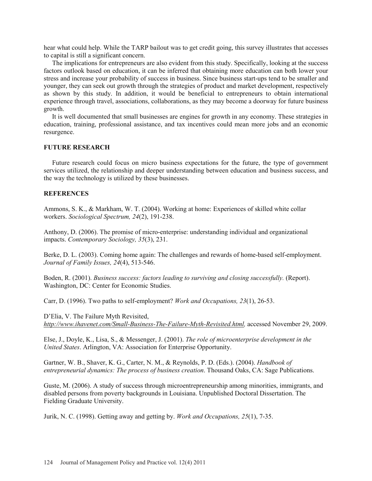hear what could help. While the TARP bailout was to get credit going, this survey illustrates that accesses to capital is still a significant concern.

 The implications for entrepreneurs are also evident from this study. Specifically, looking at the success factors outlook based on education, it can be inferred that obtaining more education can both lower your stress and increase your probability of success in business. Since business start-ups tend to be smaller and younger, they can seek out growth through the strategies of product and market development, respectively as shown by this study. In addition, it would be beneficial to entrepreneurs to obtain international experience through travel, associations, collaborations, as they may become a doorway for future business growth.

 It is well documented that small businesses are engines for growth in any economy. These strategies in education, training, professional assistance, and tax incentives could mean more jobs and an economic resurgence.

#### **FUTURE RESEARCH**

 Future research could focus on micro business expectations for the future, the type of government services utilized, the relationship and deeper understanding between education and business success, and the way the technology is utilized by these businesses.

#### **REFERENCES**

Ammons, S. K., & Markham, W. T. (2004). Working at home: Experiences of skilled white collar workers. *Sociological Spectrum, 24*(2), 191-238.

Anthony, D. (2006). The promise of micro-enterprise: understanding individual and organizational impacts. *Contemporary Sociology, 35*(3), 231.

Berke, D. L. (2003). Coming home again: The challenges and rewards of home-based self-employment. *Journal of Family Issues, 24*(4), 513-546.

Boden, R. (2001). *Business success: factors leading to surviving and closing successfully.* (Report). Washington, DC: Center for Economic Studies.

Carr, D. (1996). Two paths to self-employment? *Work and Occupations, 23*(1), 26-53.

D'Elia, V. The Failure Myth Revisited, *http://www.ihavenet.com/Small-Business-The-Failure-Myth-Revisited.html,* accessed November 29, 2009.

Else, J., Doyle, K., Lisa, S., & Messenger, J. (2001). *The role of microenterprise development in the United States*. Arlington, VA: Association for Enterprise Opportunity.

Gartner, W. B., Shaver, K. G., Carter, N. M., & Reynolds, P. D. (Eds.). (2004). *Handbook of entrepreneurial dynamics: The process of business creation*. Thousand Oaks, CA: Sage Publications.

Guste, M. (2006). A study of success through microentrepreneurship among minorities, immigrants, and disabled persons from poverty backgrounds in Louisiana. Unpublished Doctoral Dissertation. The Fielding Graduate University.

Jurik, N. C. (1998). Getting away and getting by. *Work and Occupations, 25*(1), 7-35.